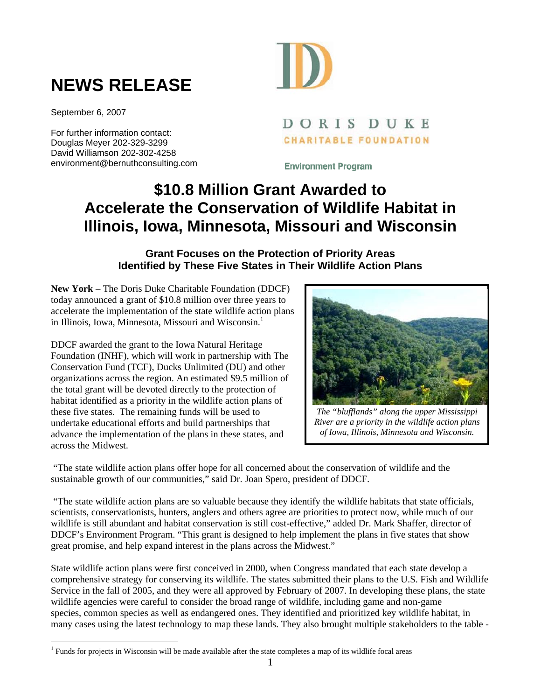## **NEWS RELEASE**

September 6, 2007

 $\overline{a}$ 

For further information contact: Douglas Meyer 202-329-3299 David Williamson 202-302-4258 environment@bernuthconsulting.com



## DORIS DUKE **CHARITABLE FOUNDATION**

**Environment Program** 

## **\$10.8 Million Grant Awarded to Accelerate the Conservation of Wildlife Habitat in Illinois, Iowa, Minnesota, Missouri and Wisconsin**

## **Grant Focuses on the Protection of Priority Areas Identified by These Five States in Their Wildlife Action Plans**

**New York** – The Doris Duke Charitable Foundation (DDCF) today announced a grant of \$10.8 million over three years to accelerate the implementation of the state wildlife action plans in Illinois, Iowa, Minnesota, Missouri and Wisconsin.<sup>1</sup>

DDCF awarded the grant to the Iowa Natural Heritage Foundation (INHF), which will work in partnership with The Conservation Fund (TCF), Ducks Unlimited (DU) and other organizations across the region. An estimated \$9.5 million of the total grant will be devoted directly to the protection of habitat identified as a priority in the wildlife action plans of these five states. The remaining funds will be used to undertake educational efforts and build partnerships that advance the implementation of the plans in these states, and across the Midwest.



*The "blufflands" along the upper Mississippi River are a priority in the wildlife action plans of Iowa, Illinois, Minnesota and Wisconsin.* 

 "The state wildlife action plans offer hope for all concerned about the conservation of wildlife and the sustainable growth of our communities," said Dr. Joan Spero, president of DDCF.

 "The state wildlife action plans are so valuable because they identify the wildlife habitats that state officials, scientists, conservationists, hunters, anglers and others agree are priorities to protect now, while much of our wildlife is still abundant and habitat conservation is still cost-effective," added Dr. Mark Shaffer, director of DDCF's Environment Program. "This grant is designed to help implement the plans in five states that show great promise, and help expand interest in the plans across the Midwest."

State wildlife action plans were first conceived in 2000, when Congress mandated that each state develop a comprehensive strategy for conserving its wildlife. The states submitted their plans to the U.S. Fish and Wildlife Service in the fall of 2005, and they were all approved by February of 2007. In developing these plans, the state wildlife agencies were careful to consider the broad range of wildlife, including game and non-game species, common species as well as endangered ones. They identified and prioritized key wildlife habitat, in many cases using the latest technology to map these lands. They also brought multiple stakeholders to the table -

<sup>&</sup>lt;sup>1</sup> Funds for projects in Wisconsin will be made available after the state completes a map of its wildlife focal areas